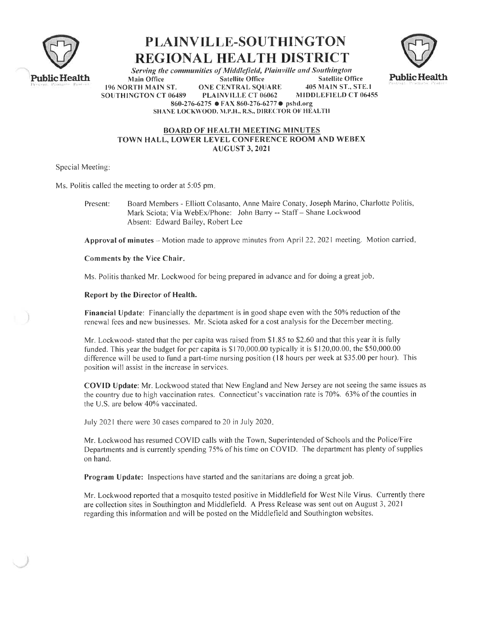





Serving the communities of Middlefield, Plainville and Southington **Satellite Office Satellite Office Main Office** 405 MAIN ST., STE.1 196 NORTH MAIN ST. **ONE CENTRAL SQUARE** SOUTHINGTON CT 06489 **PLAINVILLE CT 06062** MIDDLEFIELD CT 06455 860-276-6275 ● FAX 860-276-6277 ● pshd.org SHANE LOCKWOOD, M.P.H., R.S., DIRECTOR OF HEALTH

## **BOARD OF HEALTH MEETING MINUTES** TOWN HALL, LOWER LEVEL CONFERENCE ROOM AND WEBEX **AUGUST 3, 2021**

Special Meeting:

Ms. Politis called the meeting to order at 5:05 pm.

Board Members - Elliott Colasanto, Anne Maire Conaty, Joseph Marino, Charlotte Politis, Present: Mark Sciota; Via WebEx/Phone: John Barry -- Staff - Shane Lockwood Absent: Edward Bailey, Robert Lee

Approval of minutes – Motion made to approve minutes from April 22, 2021 meeting. Motion carried.

Comments by the Vice Chair.

Ms. Politis thanked Mr. Lockwood for being prepared in advance and for doing a great job.

Report by the Director of Health.

Financial Update: Financially the department is in good shape even with the 50% reduction of the renewal fees and new businesses. Mr. Sciota asked for a cost analysis for the December meeting.

Mr. Lockwood- stated that the per capita was raised from \$1.85 to \$2.60 and that this year it is fully funded. This year the budget for per capita is  $$170,000.00$  typically it is  $$120,00.00$ , the  $$50,000.00$ difference will be used to fund a part-time nursing position (18 hours per week at \$35.00 per hour). This position will assist in the increase in services.

COVID Update: Mr. Lockwood stated that New England and New Jersey are not seeing the same issues as the country due to high vaccination rates. Connecticut's vaccination rate is 70%. 63% of the counties in the U.S. are below 40% vaccinated.

July 2021 there were 30 cases compared to 20 in July 2020.

Mr. Lockwood has resumed COVID calls with the Town, Superintended of Schools and the Police/Fire Departments and is currently spending 75% of his time on COVID. The department has plenty of supplies on hand.

Program Update: Inspections have started and the sanitarians are doing a great job.

Mr. Lockwood reported that a mosquito tested positive in Middlefield for West Nile Virus. Currently there are collection sites in Southington and Middlefield. A Press Release was sent out on August 3, 2021 regarding this information and will be posted on the Middlefield and Southington websites.